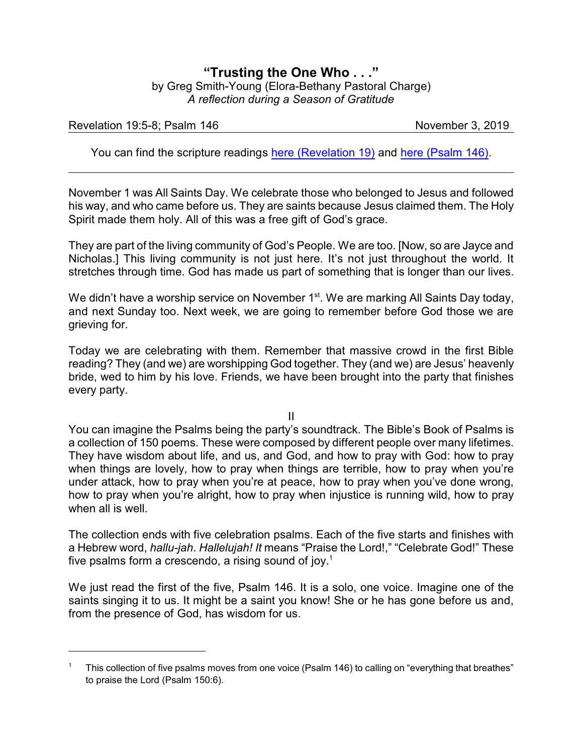## **"Trusting the One Who . . ."** by Greg Smith-Young (Elora-Bethany Pastoral Charge) *A reflection during a Season of Gratitude*

## Revelation 19:5-8; Psalm 146 November 3, 2019

You can find the scripture readings [here \(Revelation 19\)](https://www.biblegateway.com/passage/?search=Revelation+19%3A5-8&version=CEB) and [here \(Psalm 146\)](https://www.biblegateway.com/passage/?search=Psalm+146&version=CEB).

November 1 was All Saints Day. We celebrate those who belonged to Jesus and followed his way, and who came before us. They are saints because Jesus claimed them. The Holy Spirit made them holy. All of this was a free gift of God's grace.

They are part of the living community of God's People. We are too. [Now, so are Jayce and Nicholas.] This living community is not just here. It's not just throughout the world. It stretches through time. God has made us part of something that is longer than our lives.

We didn't have a worship service on November 1<sup>st</sup>. We are marking All Saints Day today, and next Sunday too. Next week, we are going to remember before God those we are grieving for.

Today we are celebrating with them. Remember that massive crowd in the first Bible reading? They (and we) are worshipping God together. They (and we) are Jesus' heavenly bride, wed to him by his love. Friends, we have been brought into the party that finishes every party.

II

You can imagine the Psalms being the party's soundtrack. The Bible's Book of Psalms is a collection of 150 poems. These were composed by different people over many lifetimes. They have wisdom about life, and us, and God, and how to pray with God: how to pray when things are lovely, how to pray when things are terrible, how to pray when you're under attack, how to pray when you're at peace, how to pray when you've done wrong, how to pray when you're alright, how to pray when injustice is running wild, how to pray when all is well.

The collection ends with five celebration psalms. Each of the five starts and finishes with a Hebrew word, *hallu-jah*. *Hallelujah! It* means "Praise the Lord!," "Celebrate God!" These five psalms form a crescendo, a rising sound of joy. $^{\rm 1}$ 

We just read the first of the five, Psalm 146. It is a solo, one voice. Imagine one of the saints singing it to us. It might be a saint you know! She or he has gone before us and, from the presence of God, has wisdom for us.

<sup>1</sup> This collection of five psalms moves from one voice (Psalm 146) to calling on "everything that breathes" to praise the Lord (Psalm 150:6).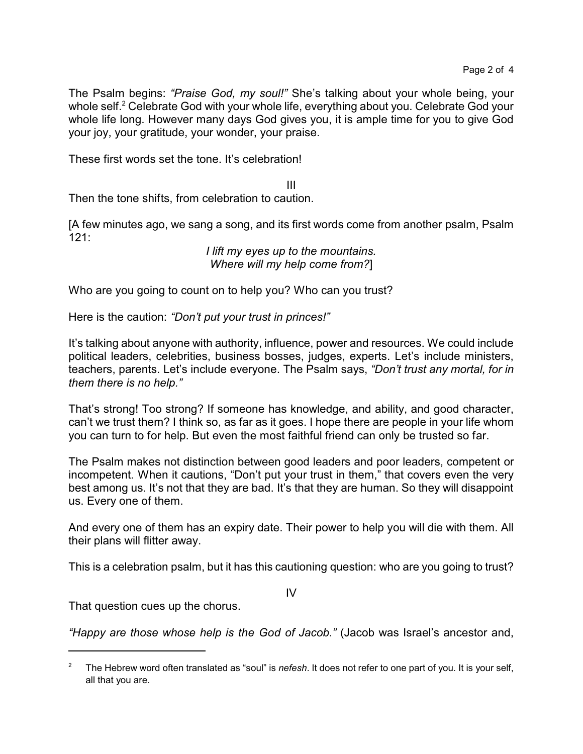The Psalm begins: *"Praise God, my soul!"* She's talking about your whole being, your whole self. <sup>2</sup> Celebrate God with your whole life, everything about you. Celebrate God your whole life long. However many days God gives you, it is ample time for you to give God your joy, your gratitude, your wonder, your praise.

These first words set the tone. It's celebration!

III

Then the tone shifts, from celebration to caution.

[A few minutes ago, we sang a song, and its first words come from another psalm, Psalm 121:

> *I lift my eyes up to the mountains. Where will my help come from?*]

Who are you going to count on to help you? Who can you trust?

Here is the caution: *"Don't put your trust in princes!"*

It's talking about anyone with authority, influence, power and resources. We could include political leaders, celebrities, business bosses, judges, experts. Let's include ministers, teachers, parents. Let's include everyone. The Psalm says, *"Don't trust any mortal, for in them there is no help."*

That's strong! Too strong? If someone has knowledge, and ability, and good character, can't we trust them? I think so, as far as it goes. I hope there are people in your life whom you can turn to for help. But even the most faithful friend can only be trusted so far.

The Psalm makes not distinction between good leaders and poor leaders, competent or incompetent. When it cautions, "Don't put your trust in them," that covers even the very best among us. It's not that they are bad. It's that they are human. So they will disappoint us. Every one of them.

And every one of them has an expiry date. Their power to help you will die with them. All their plans will flitter away.

This is a celebration psalm, but it has this cautioning question: who are you going to trust?

IV

That question cues up the chorus.

*"Happy are those whose help is the God of Jacob."* (Jacob was Israel's ancestor and,

<sup>2</sup> The Hebrew word often translated as "soul" is *nefesh*. It does not refer to one part of you. It is your self, all that you are.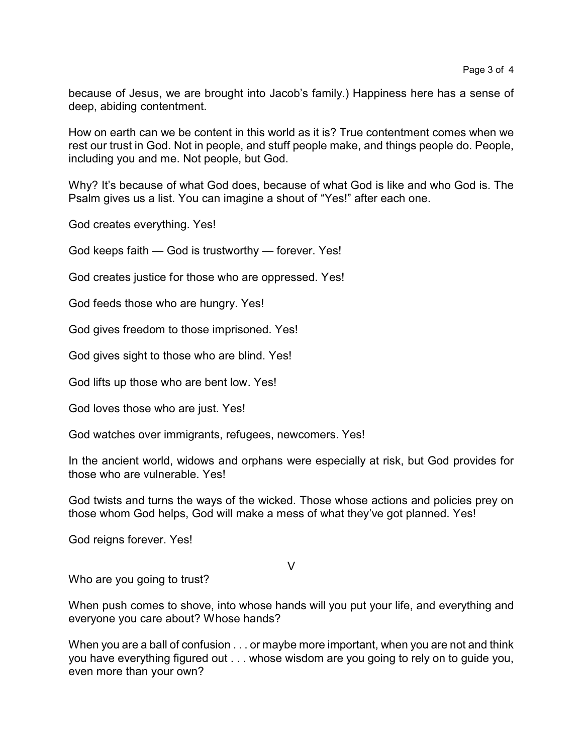because of Jesus, we are brought into Jacob's family.) Happiness here has a sense of deep, abiding contentment.

How on earth can we be content in this world as it is? True contentment comes when we rest our trust in God. Not in people, and stuff people make, and things people do. People, including you and me. Not people, but God.

Why? It's because of what God does, because of what God is like and who God is. The Psalm gives us a list. You can imagine a shout of "Yes!" after each one.

God creates everything. Yes!

God keeps faith — God is trustworthy — forever. Yes!

God creates justice for those who are oppressed. Yes!

God feeds those who are hungry. Yes!

God gives freedom to those imprisoned. Yes!

God gives sight to those who are blind. Yes!

God lifts up those who are bent low. Yes!

God loves those who are just. Yes!

God watches over immigrants, refugees, newcomers. Yes!

In the ancient world, widows and orphans were especially at risk, but God provides for those who are vulnerable. Yes!

God twists and turns the ways of the wicked. Those whose actions and policies prey on those whom God helps, God will make a mess of what they've got planned. Yes!

God reigns forever. Yes!

V

Who are you going to trust?

When push comes to shove, into whose hands will you put your life, and everything and everyone you care about? Whose hands?

When you are a ball of confusion . . . or maybe more important, when you are not and think you have everything figured out . . . whose wisdom are you going to rely on to guide you, even more than your own?